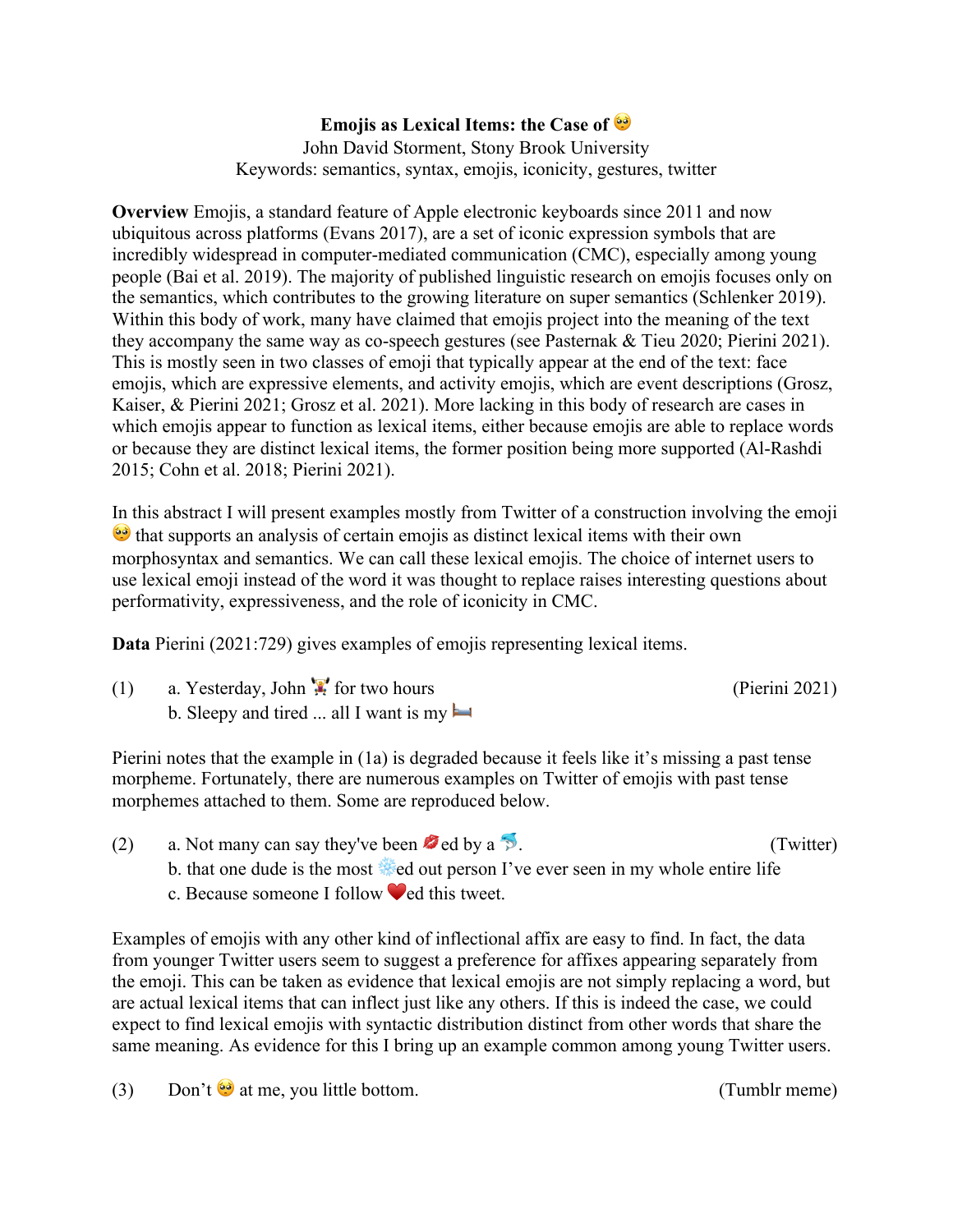## **Emojis as Lexical Items: the Case of**

John David Storment, Stony Brook University Keywords: semantics, syntax, emojis, iconicity, gestures, twitter

**Overview** Emojis, a standard feature of Apple electronic keyboards since 2011 and now ubiquitous across platforms (Evans 2017), are a set of iconic expression symbols that are incredibly widespread in computer-mediated communication (CMC), especially among young people (Bai et al. 2019). The majority of published linguistic research on emojis focuses only on the semantics, which contributes to the growing literature on super semantics (Schlenker 2019). Within this body of work, many have claimed that emojis project into the meaning of the text they accompany the same way as co-speech gestures (see Pasternak & Tieu 2020; Pierini 2021). This is mostly seen in two classes of emoji that typically appear at the end of the text: face emojis, which are expressive elements, and activity emojis, which are event descriptions (Grosz, Kaiser, & Pierini 2021; Grosz et al. 2021). More lacking in this body of research are cases in which emojis appear to function as lexical items, either because emojis are able to replace words or because they are distinct lexical items, the former position being more supported (Al-Rashdi 2015; Cohn et al. 2018; Pierini 2021).

In this abstract I will present examples mostly from Twitter of a construction involving the emoji **that supports an analysis of certain emojis as distinct lexical items with their own** morphosyntax and semantics. We can call these lexical emojis. The choice of internet users to use lexical emoji instead of the word it was thought to replace raises interesting questions about performativity, expressiveness, and the role of iconicity in CMC.

**Data** Pierini (2021:729) gives examples of emojis representing lexical items.

(1) a. Yesterday, John  $\ddot{x}$  for two hours (Pierini 2021) b. Sleepy and tired ... all I want is my

Pierini notes that the example in (1a) is degraded because it feels like it's missing a past tense morpheme. Fortunately, there are numerous examples on Twitter of emojis with past tense morphemes attached to them. Some are reproduced below.

(2) a. Not many can say they've been  $\bullet$  ed by a  $\circ$ . (Twitter) b. that one dude is the most ❄ed out person I've ever seen in my whole entire life c. Because someone I follow  $\blacklozenge$  ed this tweet.

Examples of emojis with any other kind of inflectional affix are easy to find. In fact, the data from younger Twitter users seem to suggest a preference for affixes appearing separately from the emoji. This can be taken as evidence that lexical emojis are not simply replacing a word, but are actual lexical items that can inflect just like any others. If this is indeed the case, we could expect to find lexical emojis with syntactic distribution distinct from other words that share the same meaning. As evidence for this I bring up an example common among young Twitter users.

(3) Don't  $\bullet$  at me, you little bottom. (Tumble meme)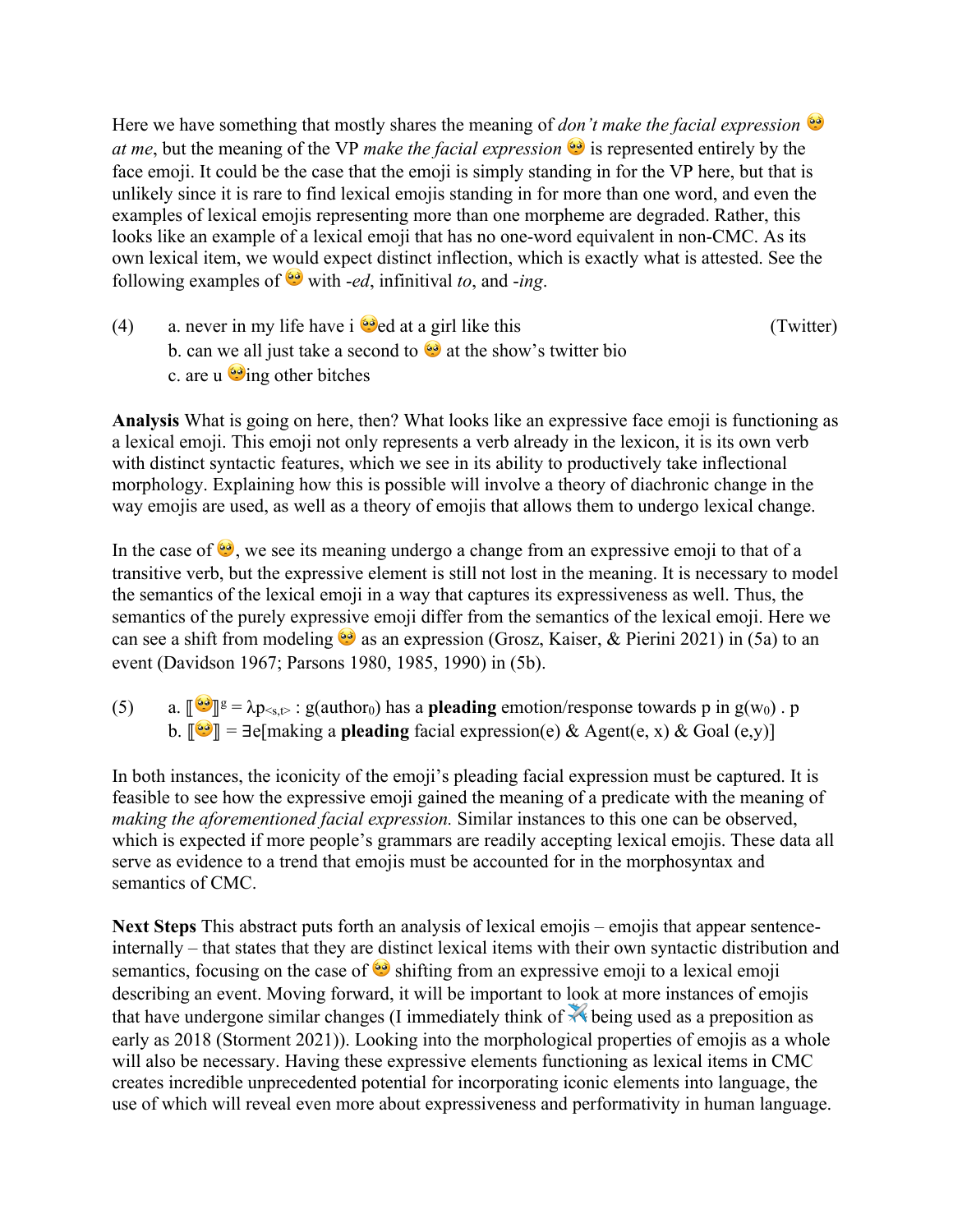Here we have something that mostly shares the meaning of *don't make the facial expression at me*, but the meaning of the VP *make the facial expression*  $\bullet$  is represented entirely by the face emoji. It could be the case that the emoji is simply standing in for the VP here, but that is unlikely since it is rare to find lexical emojis standing in for more than one word, and even the examples of lexical emojis representing more than one morpheme are degraded. Rather, this looks like an example of a lexical emoji that has no one-word equivalent in non-CMC. As its own lexical item, we would expect distinct inflection, which is exactly what is attested. See the following examples of  $\bullet$  with *-ed*, infinitival *to*, and *-ing*.

(4) a. never in my life have i  $\Theta$  ed at a girl like this (Twitter) b. can we all just take a second to  $\bullet$  at the show's twitter bio c. are u  $\ddot{\bullet}$  ing other bitches

**Analysis** What is going on here, then? What looks like an expressive face emoji is functioning as a lexical emoji. This emoji not only represents a verb already in the lexicon, it is its own verb with distinct syntactic features, which we see in its ability to productively take inflectional morphology. Explaining how this is possible will involve a theory of diachronic change in the way emojis are used, as well as a theory of emojis that allows them to undergo lexical change.

In the case of  $\Theta$ , we see its meaning undergo a change from an expressive emoji to that of a transitive verb, but the expressive element is still not lost in the meaning. It is necessary to model the semantics of the lexical emoji in a way that captures its expressiveness as well. Thus, the semantics of the purely expressive emoji differ from the semantics of the lexical emoji. Here we can see a shift from modeling  $\bullet$  as an expression (Grosz, Kaiser, & Pierini 2021) in (5a) to an event (Davidson 1967; Parsons 1980, 1985, 1990) in (5b).

(5) a.  $\lbrack \bullet \bullet \rbrack \rbrack$ <sup>g</sup> =  $\lambda p_{\leq s,\rbrack}$ : g(author<sub>0</sub>) has a **pleading** emotion/response towards p in g(w<sub>0</sub>). p b.  $\|\mathbf{Q}\| = \exists \mathbf{e}$ [making a **pleading** facial expression(e) & Agent(e, x) & Goal (e,y)]

In both instances, the iconicity of the emoji's pleading facial expression must be captured. It is feasible to see how the expressive emoji gained the meaning of a predicate with the meaning of *making the aforementioned facial expression.* Similar instances to this one can be observed, which is expected if more people's grammars are readily accepting lexical emojis. These data all serve as evidence to a trend that emojis must be accounted for in the morphosyntax and semantics of CMC.

**Next Steps** This abstract puts forth an analysis of lexical emojis – emojis that appear sentenceinternally – that states that they are distinct lexical items with their own syntactic distribution and semantics, focusing on the case of  $\bullet$  shifting from an expressive emoji to a lexical emoji describing an event. Moving forward, it will be important to look at more instances of emojis that have undergone similar changes (I immediately think of  $\mathbb{X}$  being used as a preposition as early as 2018 (Storment 2021)). Looking into the morphological properties of emojis as a whole will also be necessary. Having these expressive elements functioning as lexical items in CMC creates incredible unprecedented potential for incorporating iconic elements into language, the use of which will reveal even more about expressiveness and performativity in human language.